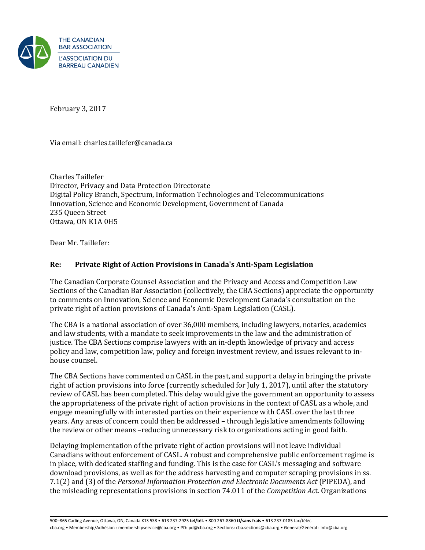

February 3, 2017

Via email: charles.taillefer@canada.ca

Charles Taillefer Director, Privacy and Data Protection Directorate Digital Policy Branch, Spectrum, Information Technologies and Telecommunications Innovation, Science and Economic Development, Government of Canada 235 Queen Street Ottawa, ON K1A 0H5

Dear Mr. Taillefer:

## **Re: Private Right of Action Provisions in Canada's Anti-Spam Legislation**

The Canadian Corporate Counsel Association and the Privacy and Access and Competition Law Sections of the Canadian Bar Association (collectively, the CBA Sections) appreciate the opportunity to comments on Innovation, Science and Economic Development Canada's consultation on the private right of action provisions of Canada's Anti-Spam Legislation (CASL).

The CBA is a national association of over 36,000 members, including lawyers, notaries, academics and law students, with a mandate to seek improvements in the law and the administration of justice. The CBA Sections comprise lawyers with an in-depth knowledge of privacy and access policy and law, competition law, policy and foreign investment review, and issues relevant to inhouse counsel.

The CBA Sections have commented on CASL in the past, and support a delay in bringing the private right of action provisions into force (currently scheduled for July 1, 2017), until after the statutory review of CASL has been completed. This delay would give the government an opportunity to assess the appropriateness of the private right of action provisions in the context of CASL as a whole, and engage meaningfully with interested parties on their experience with CASL over the last three years. Any areas of concern could then be addressed – through legislative amendments following the review or other means –reducing unnecessary risk to organizations acting in good faith.

Delaying implementation of the private right of action provisions will not leave individual Canadians without enforcement of CASL. A robust and comprehensive public enforcement regime is in place, with dedicated staffing and funding. This is the case for CASL's messaging and software download provisions, as well as for the address harvesting and computer scraping provisions in ss. 7.1(2) and (3) of the *Personal Information Protection and Electronic Documents Act* (PIPEDA), and the misleading representations provisions in section 74.011 of the *Competition Ac*t. Organizations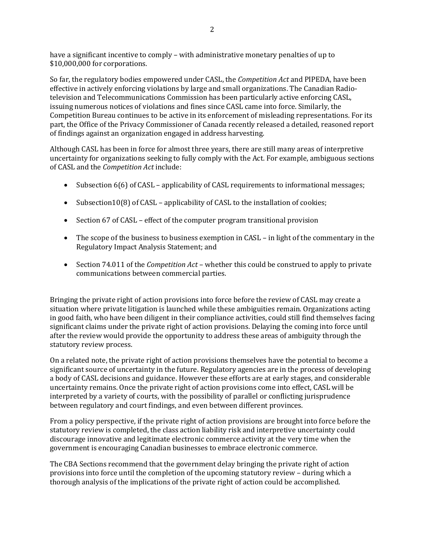have a significant incentive to comply – with administrative monetary penalties of up to \$10,000,000 for corporations.

So far, the regulatory bodies empowered under CASL, the *Competition Act* and PIPEDA, have been effective in actively enforcing violations by large and small organizations. The Canadian Radiotelevision and Telecommunications Commission has been particularly active enforcing CASL, issuing numerous notices of violations and fines since CASL came into force. Similarly, the Competition Bureau continues to be active in its enforcement of misleading representations. For its part, the Office of the Privacy Commissioner of Canada recently released a detailed, reasoned report of findings against an organization engaged in address harvesting.

Although CASL has been in force for almost three years, there are still many areas of interpretive uncertainty for organizations seeking to fully comply with the Act. For example, ambiguous sections of CASL and the *Competition Act* include:

- Subsection 6(6) of CASL applicability of CASL requirements to informational messages;
- Subsection10(8) of CASL applicability of CASL to the installation of cookies;
- Section 67 of CASL effect of the computer program transitional provision
- The scope of the business to business exemption in CASL in light of the commentary in the Regulatory Impact Analysis Statement; and
- Section 74.011 of the *Competition Act* whether this could be construed to apply to private communications between commercial parties.

Bringing the private right of action provisions into force before the review of CASL may create a situation where private litigation is launched while these ambiguities remain. Organizations acting in good faith, who have been diligent in their compliance activities, could still find themselves facing significant claims under the private right of action provisions. Delaying the coming into force until after the review would provide the opportunity to address these areas of ambiguity through the statutory review process.

On a related note, the private right of action provisions themselves have the potential to become a significant source of uncertainty in the future. Regulatory agencies are in the process of developing a body of CASL decisions and guidance. However these efforts are at early stages, and considerable uncertainty remains. Once the private right of action provisions come into effect, CASL will be interpreted by a variety of courts, with the possibility of parallel or conflicting jurisprudence between regulatory and court findings, and even between different provinces.

From a policy perspective, if the private right of action provisions are brought into force before the statutory review is completed, the class action liability risk and interpretive uncertainty could discourage innovative and legitimate electronic commerce activity at the very time when the government is encouraging Canadian businesses to embrace electronic commerce.

The CBA Sections recommend that the government delay bringing the private right of action provisions into force until the completion of the upcoming statutory review – during which a thorough analysis of the implications of the private right of action could be accomplished.